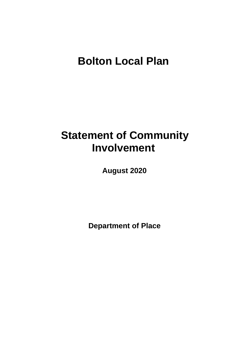# **Bolton Local Plan**

# **Statement of Community Involvement**

**August 2020**

**Department of Place**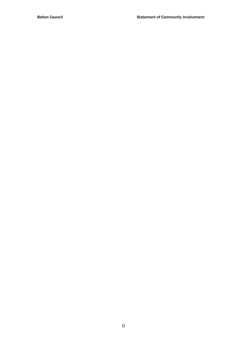0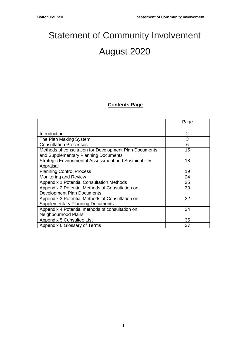# Statement of Community Involvement August 2020

# **Contents Page**

|                                                              | Page |
|--------------------------------------------------------------|------|
|                                                              |      |
| Introduction                                                 | 2    |
| The Plan Making System                                       | 3    |
| <b>Consultation Processes</b>                                | 6    |
| Methods of consultation for Development Plan Documents       | 15   |
| and Supplementary Planning Documents                         |      |
| <b>Strategic Environmental Assessment and Sustainability</b> | 18   |
| Appraisal                                                    |      |
| <b>Planning Control Process</b>                              | 19   |
| Monitoring and Review                                        | 24   |
| <b>Appendix 1 Potential Consultation Methods</b>             | 25   |
| Appendix 2 Potential Methods of Consultation on              | 30   |
| Development Plan Documents                                   |      |
| Appendix 3 Potential Methods of Consultation on              | 32   |
| <b>Supplementary Planning Documents</b>                      |      |
| Appendix 4 Potential methods of consultation on              | 34   |
| Neighbourhood Plans                                          |      |
| Appendix 5 Consultee List                                    | 35   |
| Appendix 6 Glossary of Terms                                 | 37   |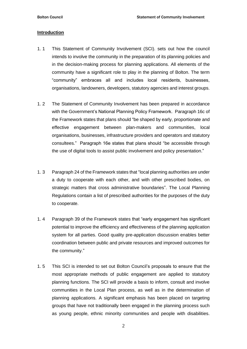#### **Introduction**

- 1. 1 This Statement of Community Involvement (SCI). sets out how the council intends to involve the community in the preparation of its planning policies and in the decision-making process for planning applications. All elements of the community have a significant role to play in the planning of Bolton. The term "community" embraces all and includes local residents, businesses, organisations, landowners, developers, statutory agencies and interest groups.
- 1. 2 The Statement of Community Involvement has been prepared in accordance with the Government's National Planning Policy Framework. Paragraph 16c of the Framework states that plans should "be shaped by early, proportionate and effective engagement between plan-makers and communities, local organisations, businesses, infrastructure providers and operators and statutory consultees." Paragraph 16e states that plans should "be accessible through the use of digital tools to assist public involvement and policy presentation."
- 1. 3 Paragraph 24 of the Framework states that "local planning authorities are under a duty to cooperate with each other, and with other prescribed bodies, on strategic matters that cross administrative boundaries". The Local Planning Regulations contain a list of prescribed authorities for the purposes of the duty to cooperate.
- 1. 4 Paragraph 39 of the Framework states that "early engagement has significant potential to improve the efficiency and effectiveness of the planning application system for all parties. Good quality pre-application discussion enables better coordination between public and private resources and improved outcomes for the community."
- 1. 5 This SCI is intended to set out Bolton Council's proposals to ensure that the most appropriate methods of public engagement are applied to statutory planning functions. The SCI will provide a basis to inform, consult and involve communities in the Local Plan process, as well as in the determination of planning applications. A significant emphasis has been placed on targeting groups that have not traditionally been engaged in the planning process such as young people, ethnic minority communities and people with disabilities.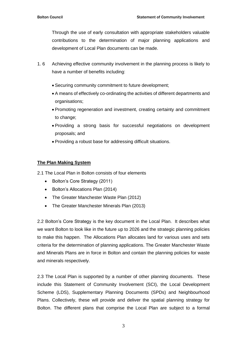Through the use of early consultation with appropriate stakeholders valuable contributions to the determination of major planning applications and development of Local Plan documents can be made.

- 1. 6 Achieving effective community involvement in the planning process is likely to have a number of benefits including:
	- Securing community commitment to future development;
	- A means of effectively co-ordinating the activities of different departments and organisations;
	- Promoting regeneration and investment, creating certainty and commitment to change;
	- Providing a strong basis for successful negotiations on development proposals; and
	- Providing a robust base for addressing difficult situations.

#### **The Plan Making System**

2.1 The Local Plan in Bolton consists of four elements

- Bolton's Core Strategy (2011)
- Bolton's Allocations Plan (2014)
- The Greater Manchester Waste Plan (2012)
- The Greater Manchester Minerals Plan (2013)

2.2 Bolton's Core Strategy is the key document in the Local Plan. It describes what we want Bolton to look like in the future up to 2026 and the strategic planning policies to make this happen. The Allocations Plan allocates land for various uses and sets criteria for the determination of planning applications. The Greater Manchester Waste and Minerals Plans are in force in Bolton and contain the planning policies for waste and minerals respectively.

2.3 The Local Plan is supported by a number of other planning documents. These include this Statement of Community Involvement (SCI), the Local Development Scheme (LDS), Supplementary Planning Documents (SPDs) and Neighbourhood Plans. Collectively, these will provide and deliver the spatial planning strategy for Bolton. The different plans that comprise the Local Plan are subject to a formal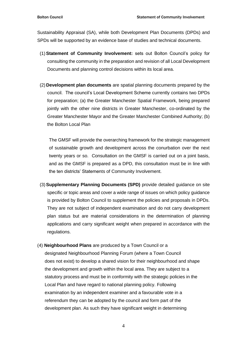Sustainability Appraisal (SA), while both Development Plan Documents (DPDs) and SPDs will be supported by an evidence base of studies and technical documents.

- (1)**Statement of Community Involvement:** sets out Bolton Council's policy for consulting the community in the preparation and revision of all Local Development Documents and planning control decisions within its local area.
- (2) **Development plan documents** are spatial planning documents prepared by the council. The council's Local Development Scheme currently contains two DPDs for preparation; (a) the Greater Manchester Spatial Framework, being prepared jointly with the other nine districts in Greater Manchester, co-ordinated by the Greater Manchester Mayor and the Greater Manchester Combined Authority; (b) the Bolton Local Plan

The GMSF will provide the overarching framework for the strategic management of sustainable growth and development across the conurbation over the next twenty years or so. Consultation on the GMSF is carried out on a joint basis, and as the GMSF is prepared as a DPD, this consultation must be in line with the ten districts' Statements of Community Involvement.

- (3)**Supplementary Planning Documents (SPD)** provide detailed guidance on site specific or topic areas and cover a wide range of issues on which policy guidance is provided by Bolton Council to supplement the policies and proposals in DPDs. They are not subject of independent examination and do not carry development plan status but are material considerations in the determination of planning applications and carry significant weight when prepared in accordance with the regulations.
- (4) **Neighbourhood Plans** are produced by a Town Council or a designated Neighbourhood Planning Forum (where a Town Council does not exist) to develop a shared vision for their neighbourhood and shape the development and growth within the local area. They are subject to a statutory process and must be in conformity with the strategic policies in the Local Plan and have regard to national planning policy. Following examination by an independent examiner and a favourable vote in a referendum they can be adopted by the council and form part of the development plan. As such they have significant weight in determining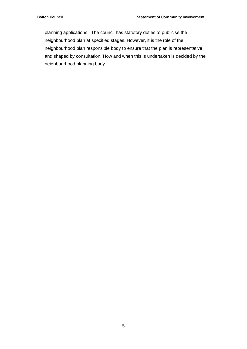planning applications. The council has statutory duties to publicise the neighbourhood plan at specified stages. However, it is the role of the neighbourhood plan responsible body to ensure that the plan is representative and shaped by consultation. How and when this is undertaken is decided by the neighbourhood planning body.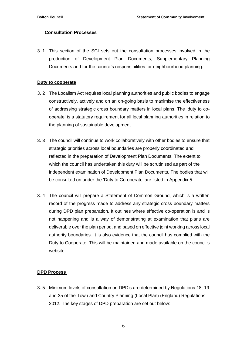#### **Consultation Processes**

3. 1 This section of the SCI sets out the consultation processes involved in the production of Development Plan Documents, Supplementary Planning Documents and for the council's responsibilities for neighbourhood planning.

#### **Duty to cooperate**

- 3. 2 The Localism Act requires local planning authorities and public bodies to engage constructively, actively and on an on-going basis to maximise the effectiveness of addressing strategic cross boundary matters in local plans. The 'duty to cooperate' is a statutory requirement for all local planning authorities in relation to the planning of sustainable development.
- 3. 3 The council will continue to work collaboratively with other bodies to ensure that strategic priorities across local boundaries are properly coordinated and reflected in the preparation of Development Plan Documents. The extent to which the council has undertaken this duty will be scrutinised as part of the independent examination of Development Plan Documents. The bodies that will be consulted on under the 'Duty to Co-operate' are listed in Appendix 5.
- 3. 4 The council will prepare a Statement of Common Ground, which is a written record of the progress made to address any strategic cross boundary matters during DPD plan preparation. It outlines where effective co-operation is and is not happening and is a way of demonstrating at examination that plans are deliverable over the plan period, and based on effective joint working across local authority boundaries. It is also evidence that the council has complied with the Duty to Cooperate. This will be maintained and made available on the council's website.

#### **DPD Process**

3. 5 Minimum levels of consultation on DPD's are determined by Regulations 18, 19 and 35 of the Town and Country Planning (Local Plan) (England) Regulations 2012. The key stages of DPD preparation are set out below: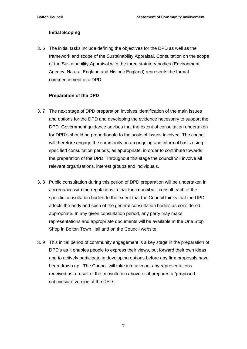#### **Initial Scoping**

3. 6 The initial tasks include defining the objectives for the DPD as well as the framework and scope of the Sustainability Appraisal. Consultation on the scope of the Sustainability Appraisal with the three statutory bodies (Environment Agency, Natural England and Historic England) represents the formal commencement of a DPD.

#### **Preparation of the DPD**

- 3. 7 The next stage of DPD preparation involves identification of the main issues and options for the DPD and developing the evidence necessary to support the DPD. Government guidance advises that the extent of consultation undertaken for DPD's should be proportionate to the scale of issues involved. The council will therefore engage the community on an ongoing and informal basis using specified consultation periods, as appropriate, in order to contribute towards the preparation of the DPD. Throughout this stage the council will involve all relevant organisations, interest groups and individuals.
- 3. 8 Public consultation during this period of DPD preparation will be undertaken in accordance with the regulations in that the council will consult each of the specific consultation bodies to the extent that the Council thinks that the DPD affects the body and such of the general consultation bodies as considered appropriate. In any given consultation period, any party may make representations and appropriate documents will be available at the One Stop Shop in Bolton Town Hall and on the Council website.
- 3. 9 This initial period of community engagement is a key stage in the preparation of DPD's as it enables people to express their views, put forward their own ideas and to actively participate in developing options before any firm proposals have been drawn up. The Council will take into account any representations received as a result of the consultation above as it prepares a "proposed submission" version of the DPD.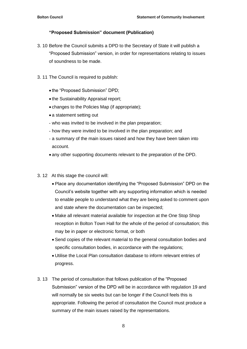#### **"Proposed Submission" document (Publication)**

- 3. 10 Before the Council submits a DPD to the Secretary of State it will publish a "Proposed Submission" version, in order for representations relating to issues of soundness to be made.
- 3. 11 The Council is required to publish:
	- the "Proposed Submission" DPD;
	- the Sustainability Appraisal report;
	- changes to the Policies Map (if appropriate);
	- a statement setting out
	- who was invited to be involved in the plan preparation;
	- how they were invited to be involved in the plan preparation; and
	- a summary of the main issues raised and how they have been taken into account.
	- any other supporting documents relevant to the preparation of the DPD.
- 3. 12 At this stage the council will:
	- Place any documentation identifying the "Proposed Submission" DPD on the Council's website together with any supporting information which is needed to enable people to understand what they are being asked to comment upon and state where the documentation can be inspected;
	- Make all relevant material available for inspection at the One Stop Shop reception in Bolton Town Hall for the whole of the period of consultation; this may be in paper or electronic format, or both
	- Send copies of the relevant material to the general consultation bodies and specific consultation bodies, in accordance with the regulations;
	- Utilise the Local Plan consultation database to inform relevant entries of progress.
- 3. 13 The period of consultation that follows publication of the "Proposed Submission" version of the DPD will be in accordance with regulation 19 and will normally be six weeks but can be longer if the Council feels this is appropriate. Following the period of consultation the Council must produce a summary of the main issues raised by the representations.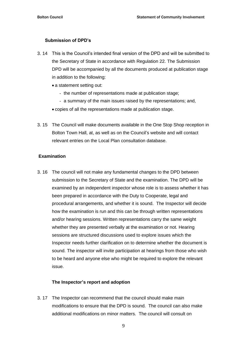#### **Submission of DPD's**

- 3. 14 This is the Council's intended final version of the DPD and will be submitted to the Secretary of State in accordance with Regulation 22. The Submission DPD will be accompanied by all the documents produced at publication stage in addition to the following:
	- a statement setting out:
		- the number of representations made at publication stage;
		- a summary of the main issues raised by the representations; and,
	- copies of all the representations made at publication stage.
- 3. 15 The Council will make documents available in the One Stop Shop reception in Bolton Town Hall, at, as well as on the Council's website and will contact relevant entries on the Local Plan consultation database.

#### **Examination**

3. 16 The council will not make any fundamental changes to the DPD between submission to the Secretary of State and the examination. The DPD will be examined by an independent inspector whose role is to assess whether it has been prepared in accordance with the Duty to Cooperate, legal and procedural arrangements, and whether it is sound. The Inspector will decide how the examination is run and this can be through written representations and/or hearing sessions. Written representations carry the same weight whether they are presented verbally at the examination or not. Hearing sessions are structured discussions used to explore issues which the Inspector needs further clarification on to determine whether the document is sound. The inspector will invite participation at hearings from those who wish to be heard and anyone else who might be required to explore the relevant issue.

#### **The Inspector's report and adoption**

3. 17 The Inspector can recommend that the council should make main modifications to ensure that the DPD is sound. The council can also make additional modifications on minor matters. The council will consult on

9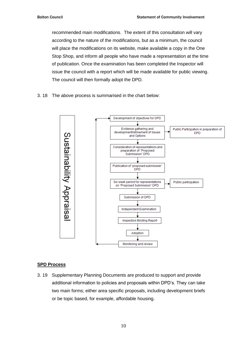recommended main modifications. The extent of this consultation will vary according to the nature of the modifications, but as a minimum, the council will place the modifications on its website, make available a copy in the One Stop Shop, and inform all people who have made a representation at the time of publication. Once the examination has been completed the Inspector will issue the council with a report which will be made available for public viewing. The council will then formally adopt the DPD.

3. 18 The above process is summarised in the chart below:



#### **SPD Process**

3. 19 Supplementary Planning Documents are produced to support and provide additional information to policies and proposals within DPD's. They can take two main forms; either area specific proposals, including development briefs or be topic based, for example, affordable housing.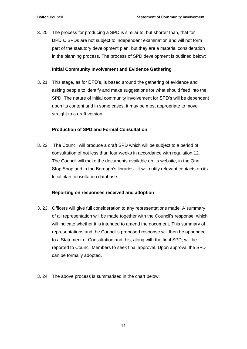3. 20 The process for producing a SPD is similar to, but shorter than, that for DPD's. SPDs are not subject to independent examination and will not form part of the statutory development plan, but they are a material consideration in the planning process. The process of SPD development is outlined below:

#### **Initial Community Involvement and Evidence Gathering**

3. 21 This stage, as for DPD's, is based around the gathering of evidence and asking people to identify and make suggestions for what should feed into the SPD. The nature of initial community involvement for SPD's will be dependent upon its content and in some cases, it may be most appropriate to move straight to a draft version.

#### **Production of SPD and Formal Consultation**

3. 22 The Council will produce a draft SPD which will be subject to a period of consultation of not less than four weeks in accordance with regulation 12. The Council will make the documents available on its website, in the One Stop Shop and in the Borough's libraries. It will notify relevant contacts on its local plan consultation database.

#### **Reporting on responses received and adoption**

- 3. 23 Officers will give full consideration to any representations made. A summary of all representation will be made together with the Council's response, which will indicate whether it is intended to amend the document. This summary of representations and the Council's proposed response will then be appended to a Statement of Consultation and this, along with the final SPD, will be reported to Council Members to seek final approval. Upon approval the SPD can be formally adopted.
- 3. 24 The above process is summarised in the chart below: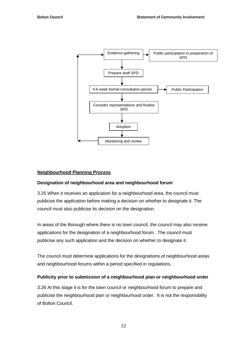

## **Neighbourhood Planning Process**

#### **Designation of neighbourhood area and neighbourhood forum**

3.25 When it receives an application for a neighbourhood area, the council must publicise the application before making a decision on whether to designate it. The council must also publicise its decision on the designation.

In areas of the Borough where there is no town council, the council may also receive applications for the designation of a neighbourhood forum. The council must publicise any such application and the decision on whether to designate it.

The council must determine applications for the designations of neighbourhood areas and neighbourhood forums within a period specified in regulations.

#### **Publicity prior to submission of a neighbourhood plan or neighbourhood order**

3.26 At this stage it is for the town council or neighbourhood forum to prepare and publicise the neighbourhood plan or neighbourhood order. It is not the responsibility of Bolton Council.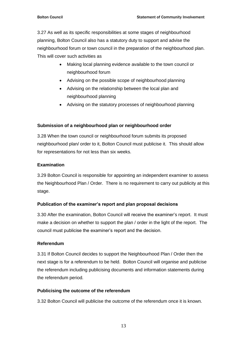3.27 As well as its specific responsibilities at some stages of neighbourhood planning, Bolton Council also has a statutory duty to support and advise the neighbourhood forum or town council in the preparation of the neighbourhood plan. This will cover such activities as

- Making local planning evidence available to the town council or neighbourhood forum
- Advising on the possible scope of neighbourhood planning
- Advising on the relationship between the local plan and neighbourhood planning
- Advising on the statutory processes of neighbourhood planning

#### **Submission of a neighbourhood plan or neighbourhood order**

3.28 When the town council or neighbourhood forum submits its proposed neighbourhood plan/ order to it, Bolton Council must publicise it. This should allow for representations for not less than six weeks.

#### **Examination**

3.29 Bolton Council is responsible for appointing an independent examiner to assess the Neighbourhood Plan / Order. There is no requirement to carry out publicity at this stage.

#### **Publication of the examiner's report and plan proposal decisions**

3.30 After the examination, Bolton Council will receive the examiner's report. It must make a decision on whether to support the plan / order in the light of the report. The council must publicise the examiner's report and the decision.

#### **Referendum**

3.31 If Bolton Council decides to support the Neighbourhood Plan / Order then the next stage is for a referendum to be held. Bolton Council will organise and publicise the referendum including publicising documents and information statements during the referendum period.

#### **Publicising the outcome of the referendum**

3.32 Bolton Council will publicise the outcome of the referendum once it is known.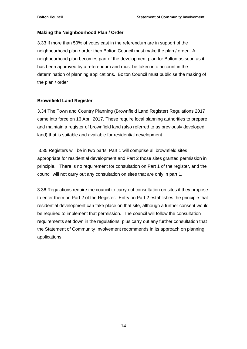#### **Making the Neighbourhood Plan / Order**

3.33 If more than 50% of votes cast in the referendum are in support of the neighbourhood plan / order then Bolton Council must make the plan / order. A neighbourhood plan becomes part of the development plan for Bolton as soon as it has been approved by a referendum and must be taken into account in the determination of planning applications. Bolton Council must publicise the making of the plan / order

#### **Brownfield Land Register**

3.34 The Town and Country Planning (Brownfield Land Register) Regulations 2017 came into force on 16 April 2017. These require local planning authorities to prepare and maintain a register of brownfield land (also referred to as previously developed land) that is suitable and available for residential development.

3.35 Registers will be in two parts, Part 1 will comprise all brownfield sites appropriate for residential development and Part 2 those sites granted permission in principle. There is no requirement for consultation on Part 1 of the register, and the council will not carry out any consultation on sites that are only in part 1.

3.36 Regulations require the council to carry out consultation on sites if they propose to enter them on Part 2 of the Register. Entry on Part 2 establishes the principle that residential development can take place on that site, although a further consent would be required to implement that permission. The council will follow the consultation requirements set down in the regulations, plus carry out any further consultation that the Statement of Community Involvement recommends in its approach on planning applications.

14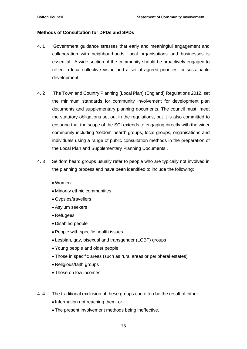#### **Methods of Consultation for DPDs and SPDs**

- 4. 1 Government guidance stresses that early and meaningful engagement and collaboration with neighbourhoods, local organisations and businesses is essential. A wide section of the community should be proactively engaged to reflect a local collective vision and a set of agreed priorities for sustainable development.
- 4. 2 The Town and Country Planning (Local Plan) (England) Regulations 2012, set the minimum standards for community involvement for development plan documents and supplementary planning documents. The council must meet the statutory obligations set out in the regulations, but it is also committed to ensuring that the scope of the SCI extends to engaging directly with the wider community including 'seldom heard' groups, local groups, organisations and individuals using a range of public consultation methods in the preparation of the Local Plan and Supplementary Planning Documents..
- 4. 3 Seldom heard groups usually refer to people who are typically not involved in the planning process and have been identified to include the following:
	- Women
	- Minority ethnic communities
	- Gypsies/travellers
	- Asylum seekers
	- Refugees
	- Disabled people
	- People with specific health issues
	- Lesbian, gay, bisexual and transgender (LGBT) groups
	- Young people and older people
	- Those in specific areas (such as rural areas or peripheral estates)
	- Religious/faith groups
	- Those on low incomes
- 4. 4 The traditional exclusion of these groups can often be the result of either:
	- Information not reaching them; or
	- The present involvement methods being ineffective.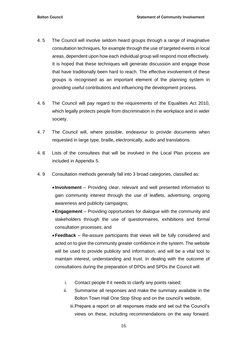- 4. 5 The Council will involve seldom heard groups through a range of imaginative consultation techniques, for example through the use of targeted events in local areas, dependent upon how each individual group will respond most effectively. It is hoped that these techniques will generate discussion and engage those that have traditionally been hard to reach. The effective involvement of these groups is recognised as an important element of the planning system in providing useful contributions and influencing the development process.
- 4. 6 The Council will pay regard to the requirements of the Equalities Act 2010, which legally protects people from discrimination in the workplace and in wider society.
- 4. 7 The Council will, where possible, endeavour to provide documents when requested in large type, braille, electronically, audio and translations.
- 4. 8 Lists of the consultees that will be involved in the Local Plan process are included in Appendix 5.
- 4. 9 Consultation methods generally fall into 3 broad categories, classified as:
	- **Involvement** Providing clear, relevant and well presented information to gain community interest through the use of leaflets, advertising, ongoing awareness and publicity campaigns;
	- •**Engagement** Providing opportunities for dialogue with the community and stakeholders through the use of questionnaires, exhibitions and formal consultation processes; and
	- •**Feedback** Re-assure participants that views will be fully considered and acted on to give the community greater confidence in the system. The website will be used to provide publicity and information, and will be a vital tool to maintain interest, understanding and trust. In dealing with the outcome of consultations during the preparation of DPDs and SPDs the Council will:
		- i. Contact people if it needs to clarify any points raised;
		- ii. Summarise all responses and make the summary available in the Bolton Town Hall One Stop Shop and on the council's website,
			- iii.Prepare a report on all responses made and set out the Council's views on these, including recommendations on the way forward.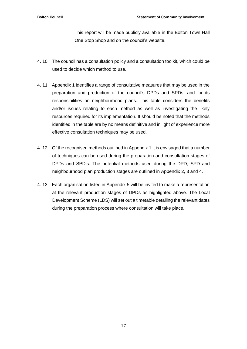This report will be made publicly available in the Bolton Town Hall One Stop Shop and on the council's website.

- 4. 10 The council has a consultation policy and a consultation toolkit, which could be used to decide which method to use.
- 4. 11 Appendix 1 identifies a range of consultative measures that may be used in the preparation and production of the council's DPDs and SPDs, and for its responsibilities on neighbourhood plans. This table considers the benefits and/or issues relating to each method as well as investigating the likely resources required for its implementation. It should be noted that the methods identified in the table are by no means definitive and in light of experience more effective consultation techniques may be used.
- 4. 12 Of the recognised methods outlined in Appendix 1 it is envisaged that a number of techniques can be used during the preparation and consultation stages of DPDs and SPD's. The potential methods used during the DPD, SPD and neighbourhood plan production stages are outlined in Appendix 2, 3 and 4.
- 4. 13 Each organisation listed in Appendix 5 will be invited to make a representation at the relevant production stages of DPDs as highlighted above. The Local Development Scheme (LDS) will set out a timetable detailing the relevant dates during the preparation process where consultation will take place.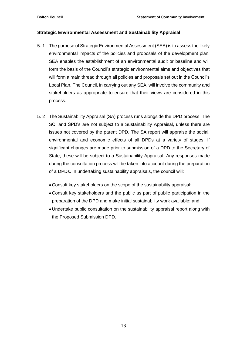#### **Strategic Environmental Assessment and Sustainability Appraisal**

- 5. 1 The purpose of Strategic Environmental Assessment (SEA) is to assess the likely environmental impacts of the policies and proposals of the development plan. SEA enables the establishment of an environmental audit or baseline and will form the basis of the Council's strategic environmental aims and objectives that will form a main thread through all policies and proposals set out in the Council's Local Plan. The Council, in carrying out any SEA, will involve the community and stakeholders as appropriate to ensure that their views are considered in this process.
- 5. 2 The Sustainability Appraisal (SA) process runs alongside the DPD process. The SCI and SPD's are not subject to a Sustainability Appraisal, unless there are issues not covered by the parent DPD. The SA report will appraise the social, environmental and economic effects of all DPDs at a variety of stages. If significant changes are made prior to submission of a DPD to the Secretary of State, these will be subject to a Sustainability Appraisal. Any responses made during the consultation process will be taken into account during the preparation of a DPDs. In undertaking sustainability appraisals, the council will:
	- Consult key stakeholders on the scope of the sustainability appraisal;
	- Consult key stakeholders and the public as part of public participation in the preparation of the DPD and make initial sustainability work available; and
	- Undertake public consultation on the sustainability appraisal report along with the Proposed Submission DPD.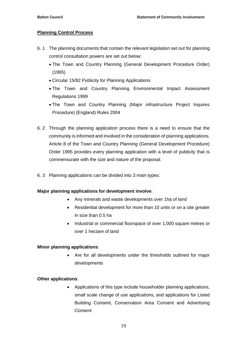#### **Planning Control Process**

- 6. 1 The planning documents that contain the relevant legislation set out for planning control consultation powers are set out below:
	- The Town and Country Planning (General Development Procedure Order) (1995)
	- Circular 15/92 Publicity for Planning Applications
	- The Town and Country Planning Environmental Impact Assessment Regulations 1999
	- The Town and Country Planning (Major infrastructure Project Inquires Procedure) (England) Rules 2004
- 6. 2 Through the planning application process there is a need to ensure that the community is informed and involved in the consideration of planning applications. Article 8 of the Town and Country Planning (General Development Procedure) Order 1995 provides every planning application with a level of publicity that is commensurate with the size and nature of the proposal.
- 6. 3 Planning applications can be divided into 3 main types:

#### **Major planning applications for development involve**:

- Any minerals and waste developments over 1ha of land
- Residential development for more than 10 units or on a site greater in size than 0.5 ha
- Industrial or commercial floorspace of over 1,000 square metres or over 1 hectare of land

#### **Minor planning applications**:

• Are for all developments under the thresholds outlined for major developments

#### **Other applications**:

• Applications of this type include householder planning applications, small scale change of use applications, and applications for Listed Building Consent, Conservation Area Consent and Advertising **Consent**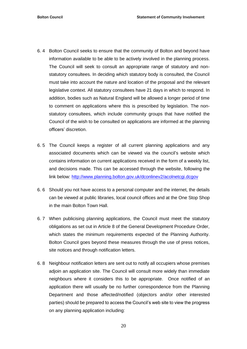- 6. 4 Bolton Council seeks to ensure that the community of Bolton and beyond have information available to be able to be actively involved in the planning process. The Council will seek to consult an appropriate range of statutory and nonstatutory consultees. In deciding which statutory body is consulted, the Council must take into account the nature and location of the proposal and the relevant legislative context. All statutory consultees have 21 days in which to respond. In addition, bodies such as Natural England will be allowed a longer period of time to comment on applications where this is prescribed by legislation. The nonstatutory consultees, which include community groups that have notified the Council of the wish to be consulted on applications are informed at the planning officers' discretion.
- 6. 5 The Council keeps a register of all current planning applications and any associated documents which can be viewed via the council's website which contains information on current applications received in the form of a weekly list, and decisions made. This can be accessed through the website, following the link below: <http://www.planning.bolton.gov.uk/dconlinev2/acolnetcgi.dcgov>
- 6. 6 Should you not have access to a personal computer and the internet, the details can be viewed at public libraries, local council offices and at the One Stop Shop in the main Bolton Town Hall.
- 6. 7 When publicising planning applications, the Council must meet the statutory obligations as set out in Article 8 of the General Development Procedure Order, which states the minimum requirements expected of the Planning Authority. Bolton Council goes beyond these measures through the use of press notices, site notices and through notification letters.
- 6. 8 Neighbour notification letters are sent out to notify all occupiers whose premises adjoin an application site. The Council will consult more widely than immediate neighbours where it considers this to be appropriate. Once notified of an application there will usually be no further correspondence from the Planning Department and those affected/notified (objectors and/or other interested parties) should be prepared to access the Council's web site to view the progress on any planning application including: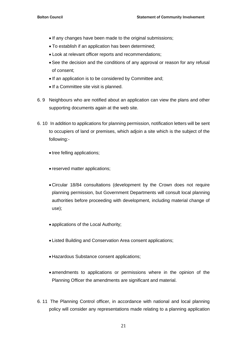- If any changes have been made to the original submissions;
- To establish if an application has been determined;
- Look at relevant officer reports and recommendations;
- See the decision and the conditions of any approval or reason for any refusal of consent;
- If an application is to be considered by Committee and;
- If a Committee site visit is planned.
- 6. 9 Neighbours who are notified about an application can view the plans and other supporting documents again at the web site.
- 6. 10 In addition to applications for planning permission, notification letters will be sent to occupiers of land or premises, which adjoin a site which is the subject of the following:-
	- tree felling applications;
	- reserved matter applications;
	- Circular 18/84 consultations (development by the Crown does not require planning permission, but Government Departments will consult local planning authorities before proceeding with development, including material change of use);
	- applications of the Local Authority;
	- Listed Building and Conservation Area consent applications;
	- Hazardous Substance consent applications;
	- amendments to applications or permissions where in the opinion of the Planning Officer the amendments are significant and material.
- 6. 11 The Planning Control officer, in accordance with national and local planning policy will consider any representations made relating to a planning application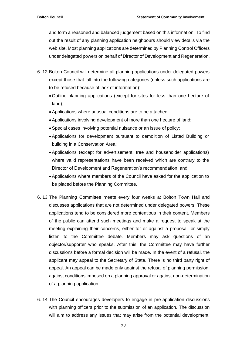and form a reasoned and balanced judgement based on this information. To find out the result of any planning application neighbours should view details via the web site. Most planning applications are determined by Planning Control Officers under delegated powers on behalf of Director of Development and Regeneration.

- 6. 12 Bolton Council will determine all planning applications under delegated powers except those that fall into the following categories (unless such applications are to be refused because of lack of information):
	- Outline planning applications (except for sites for less than one hectare of land);
	- Applications where unusual conditions are to be attached;
	- Applications involving development of more than one hectare of land;
	- Special cases involving potential nuisance or an issue of policy;
	- Applications for development pursuant to demolition of Listed Building or building in a Conservation Area;
	- Applications (except for advertisement, tree and householder applications) where valid representations have been received which are contrary to the Director of Development and Regeneration's recommendation; and
	- Applications where members of the Council have asked for the application to be placed before the Planning Committee.
- 6. 13 The Planning Committee meets every four weeks at Bolton Town Hall and discusses applications that are not determined under delegated powers. These applications tend to be considered more contentious in their content. Members of the public can attend such meetings and make a request to speak at the meeting explaining their concerns, either for or against a proposal, or simply listen to the Committee debate. Members may ask questions of an objector/supporter who speaks. After this, the Committee may have further discussions before a formal decision will be made. In the event of a refusal, the applicant may appeal to the Secretary of State. There is no third party right of appeal. An appeal can be made only against the refusal of planning permission, against conditions imposed on a planning approval or against non-determination of a planning application.
- 6. 14 The Council encourages developers to engage in pre-application discussions with planning officers prior to the submission of an application. The discussion will aim to address any issues that may arise from the potential development,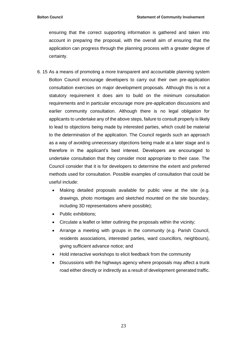ensuring that the correct supporting information is gathered and taken into account in preparing the proposal, with the overall aim of ensuring that the application can progress through the planning process with a greater degree of certainty.

- 6. 15 As a means of promoting a more transparent and accountable planning system Bolton Council encourage developers to carry out their own pre-application consultation exercises on major development proposals. Although this is not a statutory requirement it does aim to build on the minimum consultation requirements and in particular encourage more pre-application discussions and earlier community consultation. Although there is no legal obligation for applicants to undertake any of the above steps, failure to consult properly is likely to lead to objections being made by interested parties, which could be material to the determination of the application. The Council regards such an approach as a way of avoiding unnecessary objections being made at a later stage and is therefore in the applicant's best interest. Developers are encouraged to undertake consultation that they consider most appropriate to their case. The Council consider that it is for developers to determine the extent and preferred methods used for consultation. Possible examples of consultation that could be useful include:
	- Making detailed proposals available for public view at the site (e.g. drawings, photo montages and sketched mounted on the site boundary, including 3D representations where possible);
	- Public exhibitions;
	- Circulate a leaflet or letter outlining the proposals within the vicinity;
	- Arrange a meeting with groups in the community (e.g. Parish Council, residents associations, interested parties, ward councillors, neighbours), giving sufficient advance notice; and
	- Hold interactive workshops to elicit feedback from the community
	- Discussions with the highways agency where proposals may affect a trunk road either directly or indirectly as a result of development generated traffic.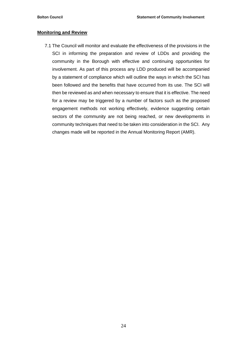#### **Monitoring and Review**

7.1 The Council will monitor and evaluate the effectiveness of the provisions in the SCI in informing the preparation and review of LDDs and providing the community in the Borough with effective and continuing opportunities for involvement. As part of this process any LDD produced will be accompanied by a statement of compliance which will outline the ways in which the SCI has been followed and the benefits that have occurred from its use. The SCI will then be reviewed as and when necessary to ensure that it is effective. The need for a review may be triggered by a number of factors such as the proposed engagement methods not working effectively, evidence suggesting certain sectors of the community are not being reached, or new developments in community techniques that need to be taken into consideration in the SCI. Any changes made will be reported in the Annual Monitoring Report (AMR).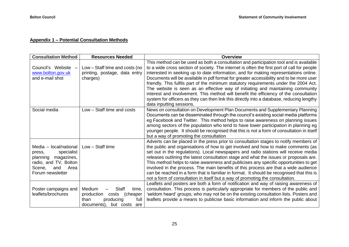# **Appendix 1 – Potential Consultation Methods**

| <b>Consultation Method</b>                                                                                                                     | <b>Resources Needed</b>                                                                                                     | Overview                                                                                                                                                                                                                                                                                                                                                                                                                                                                                                                                                                                                                                                                                                                                                               |
|------------------------------------------------------------------------------------------------------------------------------------------------|-----------------------------------------------------------------------------------------------------------------------------|------------------------------------------------------------------------------------------------------------------------------------------------------------------------------------------------------------------------------------------------------------------------------------------------------------------------------------------------------------------------------------------------------------------------------------------------------------------------------------------------------------------------------------------------------------------------------------------------------------------------------------------------------------------------------------------------------------------------------------------------------------------------|
| Council's Website -<br>www.bolton.gov.uk<br>and e-mail shot                                                                                    | Low - Staff time and costs (no<br>printing, postage, data entry<br>charges)                                                 | This method can be used as both a consultation and participation tool and is available<br>to a wide cross section of society. The internet is often the first port of call for people<br>interested in seeking up to date information, and for making representations online.<br>Documents will be available in pdf format for greater accessibility and to be more user<br>friendly. This fulfils part of the minimum statutory requirements under the 2004 Act.<br>The website is seen as an effective way of initiating and maintaining community<br>interest and involvement. This method will benefit the efficiency of the consultation<br>system for officers as they can then link this directly into a database, reducing lengthy<br>data inputting sessions. |
| Social media                                                                                                                                   | Low - Staff time and costs                                                                                                  | News on consultation on Development Plan Documents and Supplementary Planning<br>Documents can be disseminated through the council's existing social media platforms<br>eg Facebook and Twitter. This method helps to raise awareness on planning issues<br>among sectors of the population who tend to have lower participation in planning eg<br>younger people. It should be recognised that this is not a form of consultation in itself<br>but a way of promoting the consultation                                                                                                                                                                                                                                                                                |
| Media - local/national<br>specialist<br>press,<br>magazines,<br>planning<br>radio, and TV, Bolton<br>Scene,<br>Area<br>and<br>Forum newsletter | Low - Staff time                                                                                                            | Adverts can be placed in the press prior to consultation stages to notify members of<br>the public and organisations of how to get involved and how to make comments (as<br>set out in the regulations). Local newspapers and radio stations will receive media<br>releases outlining the latest consultation stage and what the issues or proposals are.<br>This method helps to raise awareness and publicises any specific opportunities to get<br>involved in the process. The main benefits of this process are that a wide audience<br>can be reached in a form that is familiar in format. It should be recognised that this is<br>not a form of consultation in itself but a way of promoting the consultation.                                                |
| Poster campaigns and<br>leaflets/brochures                                                                                                     | Medium<br>Staff<br>time,<br>production<br>(cheaper<br>costs<br>producing<br>than<br>full<br>but costs<br>documents),<br>are | Leaflets and posters are both a form of notification and way of raising awareness of<br>consultation. This process is particularly appropriate for members of the public and<br>'seldom heard' groups, who may not be on the existing consultation lists. Posters and<br>leaflets provide a means to publicise basic information and inform the public about                                                                                                                                                                                                                                                                                                                                                                                                           |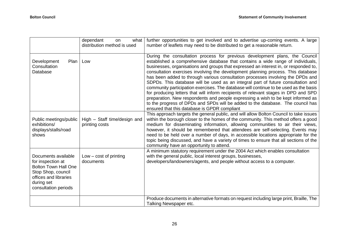|                                                                                                                                                              | dependant<br>what<br><b>on</b><br>distribution method is used | further opportunities to get involved and to advertise up-coming events. A large<br>number of leaflets may need to be distributed to get a reasonable return.                                                                                                                                                                                                                                                                                                                                                                                                                                                                                                                                                                                                                                                                                                                                                            |
|--------------------------------------------------------------------------------------------------------------------------------------------------------------|---------------------------------------------------------------|--------------------------------------------------------------------------------------------------------------------------------------------------------------------------------------------------------------------------------------------------------------------------------------------------------------------------------------------------------------------------------------------------------------------------------------------------------------------------------------------------------------------------------------------------------------------------------------------------------------------------------------------------------------------------------------------------------------------------------------------------------------------------------------------------------------------------------------------------------------------------------------------------------------------------|
| Development<br>Plan I<br>Consultation<br>Database                                                                                                            | Low                                                           | During the consultation process for previous development plans, the Council<br>established a comprehensive database that contains a wide range of individuals,<br>businesses, organisations and groups that expressed an interest in, or responded to,<br>consultation exercises involving the development planning process. This database<br>has been added to through various consultation processes involving the DPDs and<br>SDPDs. This database will be used as an integral part of future consultation and<br>community participation exercises. The database will continue to be used as the basis<br>for producing letters that will inform recipients of relevant stages in DPD and SPD<br>preparation. New respondents and people expressing a wish to be kept informed as<br>to the progress of DPDs and SPDs will be added to the database. The council has<br>ensured that this database is GPDR compliant |
| Public meetings/public<br>exhibitions/<br>displays/stalls/road<br>shows                                                                                      | High - Staff time/design and<br>printing costs                | This approach targets the general public, and will allow Bolton Council to take issues<br>within the borough closer to the homes of the community. This method offers a good<br>medium for disseminating information, allowing communities to air their views,<br>however, it should be remembered that attendees are self-selecting. Events may<br>need to be held over a number of days, in accessible locations appropriate for the<br>topic being discussed, and have a variety of times to ensure that all sections of the<br>community have an opportunity to attend.                                                                                                                                                                                                                                                                                                                                              |
| Documents available<br>for inspection at<br><b>Bolton Town Hall One</b><br>Stop Shop, council<br>offices and libraries<br>during set<br>consultation periods | $Low - cost of printing$<br>documents                         | A minimum statutory requirement under the 2004 Act which enables consultation<br>with the general public, local interest groups, businesses,<br>developers/landowners/agents, and people without access to a computer.                                                                                                                                                                                                                                                                                                                                                                                                                                                                                                                                                                                                                                                                                                   |
|                                                                                                                                                              |                                                               | Produce documents in alternative formats on request including large print, Braille, The<br>Talking Newspaper etc.                                                                                                                                                                                                                                                                                                                                                                                                                                                                                                                                                                                                                                                                                                                                                                                                        |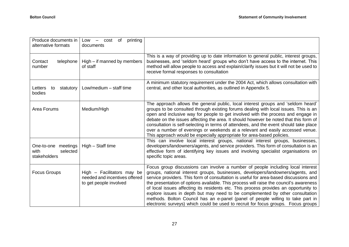| Produce documents in<br>alternative formats             | of<br>printing<br>$Low - cost$<br>documents                                           |                                                                                                                                                                                                                                                                                                                                                                                                                                                                                                                                                                                                                                                                                                        |
|---------------------------------------------------------|---------------------------------------------------------------------------------------|--------------------------------------------------------------------------------------------------------------------------------------------------------------------------------------------------------------------------------------------------------------------------------------------------------------------------------------------------------------------------------------------------------------------------------------------------------------------------------------------------------------------------------------------------------------------------------------------------------------------------------------------------------------------------------------------------------|
| telephone<br>Contact<br>number                          | High - if manned by members<br>of staff                                               | This is a way of providing up to date information to general public, interest groups,<br>businesses, and 'seldom heard' groups who don't have access to the internet. This<br>method will allow people to access and explain/clarify issues but it will not be used to<br>receive formal responses to consultation                                                                                                                                                                                                                                                                                                                                                                                     |
| Letters<br>statutory<br>to<br>bodies                    | $Low/medium - staff time$                                                             | A minimum statutory requirement under the 2004 Act, which allows consultation with<br>central, and other local authorities, as outlined in Appendix 5.                                                                                                                                                                                                                                                                                                                                                                                                                                                                                                                                                 |
| Area Forums                                             | Medium/High                                                                           | The approach allows the general public, local interest groups and 'seldom heard'<br>groups to be consulted through existing forums dealing with local issues. This is an<br>open and inclusive way for people to get involved with the process and engage in<br>debate on the issues affecting the area. It should however be noted that this form of<br>consultation is self-selecting in terms of attendees, and the event should take place<br>over a number of evenings or weekends at a relevant and easily accessed venue.<br>This approach would be especially appropriate for area-based policies.                                                                                             |
| One-to-one meetings<br>selected<br>with<br>stakeholders | High - Staff time                                                                     | This can involve local interest groups, national interest groups, businesses,<br>developers/landowners/agents, and service providers. This form of consultation is an<br>effective form of identifying key issues and involving specialist organisations on<br>specific topic areas.                                                                                                                                                                                                                                                                                                                                                                                                                   |
| <b>Focus Groups</b>                                     | High - Facilitators may be<br>needed and incentives offered<br>to get people involved | Focus group discussions can involve a number of people including local interest<br>groups, national interest groups, businesses, developers/landowners/agents, and<br>service providers. This form of consultation is useful for area-based discussions and<br>the presentation of options available. This process will raise the council's awareness<br>of local issues affecting its residents etc. This process provides an opportunity to<br>explore issues in depth but may need to be complemented by other consultation<br>methods. Bolton Council has an e-panel (panel of people willing to take part in<br>electronic surveys) which could be used to recruit for focus groups. Focus groups |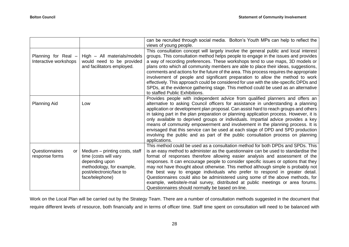|                                               |                                                                                                                                                      | can be recruited through social media. Bolton's Youth MPs can help to reflect the                                                                                                                                                                                                                                                                                                                                                                                                                                                                                                                                                                                                                                                               |
|-----------------------------------------------|------------------------------------------------------------------------------------------------------------------------------------------------------|-------------------------------------------------------------------------------------------------------------------------------------------------------------------------------------------------------------------------------------------------------------------------------------------------------------------------------------------------------------------------------------------------------------------------------------------------------------------------------------------------------------------------------------------------------------------------------------------------------------------------------------------------------------------------------------------------------------------------------------------------|
|                                               |                                                                                                                                                      | views of young people.                                                                                                                                                                                                                                                                                                                                                                                                                                                                                                                                                                                                                                                                                                                          |
| Planning for Real -<br>Interactive workshops  | High - All materials/models<br>would need to be provided<br>and facilitators employed.                                                               | This consultation concept will largely involve the general public and local interest<br>groups. This consultation method helps people to engage in the issues and provides<br>a way of recording preferences. These workshops tend to use maps, 3D models or<br>plans onto which all community members are able to place their ideas, suggestions,<br>comments and actions for the future of the area. This process requires the appropriate<br>involvement of people and significant preparation to allow the method to work<br>effectively. This approach could be considered for use with the site-specific DPDs and<br>SPDs, at the evidence gathering stage. This method could be used as an alternative<br>to staffed Public Exhibitions. |
| <b>Planning Aid</b>                           | Low                                                                                                                                                  | Provides people with independent advice from qualified planners and offers an<br>alternative to asking Council officers for assistance in understanding a planning<br>application or development plan proposal. Can assist hard to reach groups and others<br>in taking part in the plan preparation or planning application process. However, it is<br>only available to deprived groups or individuals. Impartial advice provides a key<br>means of community empowerment and involvement in the planning process. It is<br>envisaged that this service can be used at each stage of DPD and SPD production<br>involving the public and as part of the public consultation process on planning<br>applications.                               |
| Questionnaires<br><b>or</b><br>response forms | Medium – printing costs, staff<br>time (costs will vary<br>depending upon<br>methodology, for example,<br>post/electronic/face to<br>face/telephone) | This method could be used as a consultation method for both DPDs and SPDs. This<br>is an easy method to administer as the questionnaire can be used to standardise the<br>format of responses therefore allowing easier analysis and assessment of the<br>responses. It can encourage people to consider specific issues or options that they<br>may not have thought about otherwise. This method although simple is probably not<br>the best way to engage individuals who prefer to respond in greater detail.<br>Questionnaires could also be administered using some of the above methods, for<br>example, website/e-mail survey, distributed at public meetings or area forums.<br>Questionnaires should normally be based on-line.       |

Work on the Local Plan will be carried out by the Strategy Team. There are a number of consultation methods suggested in the document that require different levels of resource, both financially and in terms of officer time. Staff time spent on consultation will need to be balanced with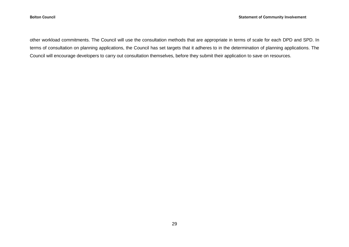other workload commitments. The Council will use the consultation methods that are appropriate in terms of scale for each DPD and SPD. In terms of consultation on planning applications, the Council has set targets that it adheres to in the determination of planning applications. The Council will encourage developers to carry out consultation themselves, before they submit their application to save on resources.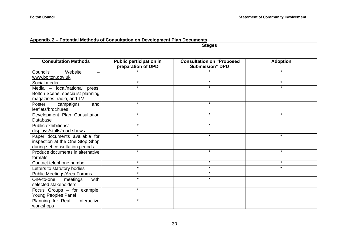# **Appendix 2 – Potential Methods of Consultation on Development Plan Documents**

|                                                                                                     | <b>Stages</b>                                        |                                                            |                 |  |  |  |
|-----------------------------------------------------------------------------------------------------|------------------------------------------------------|------------------------------------------------------------|-----------------|--|--|--|
|                                                                                                     |                                                      |                                                            |                 |  |  |  |
| <b>Consultation Methods</b>                                                                         | <b>Public participation in</b><br>preparation of DPD | <b>Consultation on "Proposed</b><br><b>Submission" DPD</b> | <b>Adoption</b> |  |  |  |
| Councils<br>Website<br>www.bolton.gov.uk                                                            |                                                      |                                                            | $\star$         |  |  |  |
| Social media                                                                                        | $\star$                                              | $\star$                                                    | $\star$         |  |  |  |
| Media - local/national<br>press,<br>Bolton Scene, specialist planning<br>magazines, radio, and TV   | $\star$                                              | $\star$                                                    | $\star$         |  |  |  |
| campaigns<br>Poster<br>and<br>leaflets/brochures                                                    | $\star$                                              | $\star$                                                    |                 |  |  |  |
| Development Plan Consultation<br>Database                                                           | $\star$                                              | $\star$                                                    | $\star$         |  |  |  |
| Public exhibitions/<br>displays/stalls/road shows                                                   | $\star$                                              | $\star$                                                    |                 |  |  |  |
| Paper documents available for<br>inspection at the One Stop Shop<br>during set consultation periods | $\star$                                              | $\star$                                                    | $\star$         |  |  |  |
| Produce documents in alternative<br>formats                                                         | $\star$                                              | $\star$                                                    | $\star$         |  |  |  |
| Contact telephone number                                                                            | $\star$                                              | $\star$                                                    | $\star$         |  |  |  |
| Letters to statutory bodies                                                                         | $\star$                                              | $\star$                                                    | $\star$         |  |  |  |
| Public Meetings/Area Forums                                                                         | $\star$                                              | $\star$                                                    |                 |  |  |  |
| One-to-one<br>meetings<br>with<br>selected stakeholders                                             | $\star$                                              | $\star$                                                    |                 |  |  |  |
| Focus Groups - for example,<br>Young Peoples Panel                                                  | $\star$                                              |                                                            |                 |  |  |  |
| Planning for Real - Interactive<br>workshops                                                        | $\star$                                              |                                                            |                 |  |  |  |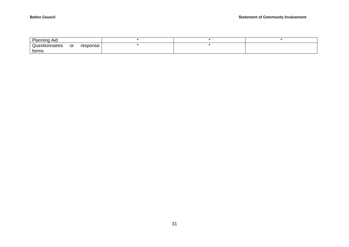| <b>Planning Aid</b>     |    |          |  |  |
|-------------------------|----|----------|--|--|
| Questionnaires<br>forms | or | response |  |  |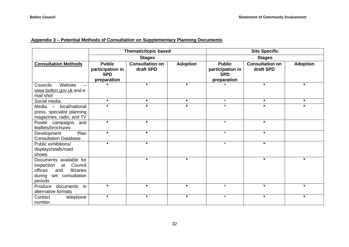# **Appendix 3 – Potential Methods of Consultation on Supplementary Planning Documents**

|                                                                                                                             | <b>Thematic/topic based</b>                                    |                                     |                 | <b>Site Specific</b>                                           |                                     |                 |
|-----------------------------------------------------------------------------------------------------------------------------|----------------------------------------------------------------|-------------------------------------|-----------------|----------------------------------------------------------------|-------------------------------------|-----------------|
|                                                                                                                             | <b>Stages</b>                                                  |                                     |                 | <b>Stages</b>                                                  |                                     |                 |
| <b>Consultation Methods</b>                                                                                                 | <b>Public</b><br>participation in<br><b>SPD</b><br>preparation | <b>Consultation on</b><br>draft SPD | <b>Adoption</b> | <b>Public</b><br>participation in<br><b>SPD</b><br>preparation | <b>Consultation on</b><br>draft SPD | <b>Adoption</b> |
| Website<br>Councils<br>www.bolton.gov.uk and e-<br>mail shot                                                                |                                                                | $\star$                             | $\star$         |                                                                | $\star$                             | $\star$         |
| Social media                                                                                                                | $\star$                                                        | $\star$                             | $\star$         | $\star$                                                        | $\star$                             | $\star$         |
| local/national<br>Media<br>$\overline{\phantom{a}}$<br>press, specialist planning<br>magazines, radio, and TV               | $\star$                                                        | $\star$                             | $\star$         | $\star$                                                        | $\star$                             | $\star$         |
| Poster campaigns and<br>leaflets/brochures                                                                                  | $\star$                                                        | $\star$                             |                 | $\star$                                                        | $\star$                             |                 |
| Plan<br>Development<br><b>Consultation Database</b>                                                                         | $\star$                                                        | $\star$                             |                 | $\star$                                                        | $\star$                             |                 |
| Public exhibitions/<br>displays/stalls/road<br>shows                                                                        | $\star$                                                        | $\star$                             |                 | $\star$                                                        | $\star$                             |                 |
| Documents available for<br>Council<br>inspection<br>at<br>offices<br>and<br>libraries<br>during set consultation<br>periods |                                                                | $\star$                             | $\star$         |                                                                | $\star$                             | $\star$         |
| in<br>documents<br>Produce<br>alternative formats                                                                           | $\star$                                                        | $\star$                             | $\star$         | $\star$                                                        | $\star$                             | $\star$         |
| telephone<br>Contact<br>number                                                                                              | $\star$                                                        | $\star$                             | $\star$         | $\star$                                                        | $\star$                             | $\star$         |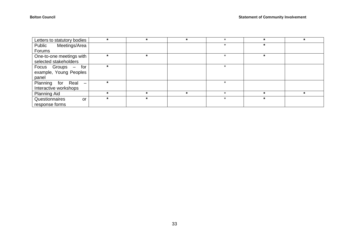| Letters to statutory bodies                         | $\star$ | ÷       | * | $\star$ | $\star$ |  |
|-----------------------------------------------------|---------|---------|---|---------|---------|--|
| Public<br>Meetings/Area                             |         |         |   | $\star$ | $\star$ |  |
| Forums                                              |         |         |   |         |         |  |
| One-to-one meetings with                            | $\star$ | $\star$ |   | $\star$ | $\star$ |  |
| selected stakeholders                               |         |         |   |         |         |  |
| Focus Groups -<br>for                               | $\star$ |         |   | $\star$ |         |  |
| example, Young Peoples                              |         |         |   |         |         |  |
| panel                                               |         |         |   |         |         |  |
| Planning<br>Real<br>for<br>$\overline{\phantom{m}}$ | $\star$ |         |   | $\star$ |         |  |
| Interactive workshops                               |         |         |   |         |         |  |
| <b>Planning Aid</b>                                 |         |         |   |         |         |  |
| Questionnaires<br><b>or</b>                         | $\star$ | $\star$ |   | $\star$ | $\star$ |  |
| response forms                                      |         |         |   |         |         |  |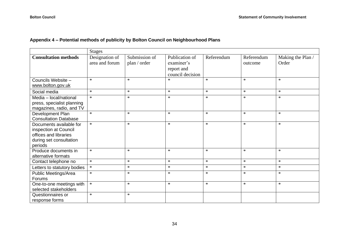# **Appendix 4 – Potential methods of publicity by Bolton Council on Neighbourhood Plans**

|                                                                                                                 | <b>Stages</b>                    |                               |                                                                |            |                       |                            |
|-----------------------------------------------------------------------------------------------------------------|----------------------------------|-------------------------------|----------------------------------------------------------------|------------|-----------------------|----------------------------|
| <b>Consultation methods</b>                                                                                     | Designation of<br>area and forum | Submission of<br>plan / order | Publication of<br>examiner's<br>report and<br>council decision | Referendum | Referendum<br>outcome | Making the Plan /<br>Order |
| Councils Website -<br>www.bolton.gov.uk                                                                         | $*$                              | $\ast$                        | $\ast$                                                         | $\ast$     | $\ast$                | $\ast$                     |
| Social media                                                                                                    | $\ast$                           | $*$                           | $*$                                                            | $*$        | $\ast$                | $\ast$                     |
| Media - local/national<br>press, specialist planning<br>magazines, radio, and TV                                | $*$                              | $\ast$                        | $\ast$                                                         | $\ast$     | $\ast$                | $\ast$                     |
| Development Plan<br><b>Consultation Database</b>                                                                | $\ast$                           | $\ast$                        | *                                                              | $\ast$     | $\ast$                | $\ast$                     |
| Documents available for<br>inspection at Council<br>offices and libraries<br>during set consultation<br>periods | $\ast$                           | $\ast$                        | $\ast$                                                         | $\ast$     | $\ast$                | $\ast$                     |
| Produce documents in<br>alternative formats                                                                     | $\ast$                           | $\ast$                        | $\ast$                                                         | $\ast$     | $\ast$                | $\ast$                     |
| Contact telephone no                                                                                            | $*$                              | $\ast$                        | $\ast$                                                         | $\ast$     | $\ast$                | $\ast$                     |
| Letters to statutory bodies                                                                                     | $\ast$                           | $\ast$                        | $\ast$                                                         | $\ast$     | $\ast$                | $\ast$                     |
| Public Meetings/Area<br>Forums                                                                                  | $\ast$                           | $\ast$                        | *                                                              | $\ast$     | $\ast$                | $\ast$                     |
| One-to-one meetings with<br>selected stakeholders                                                               | $\ast$                           | $\ast$                        | $\ast$                                                         | $\ast$     | $\ast$                | $\ast$                     |
| Questionnaires or<br>response forms                                                                             | $*$                              | $\ast$                        |                                                                |            |                       |                            |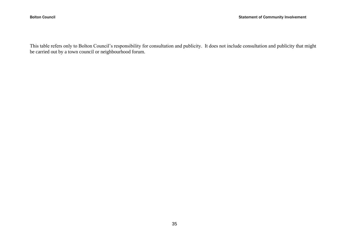This table refers only to Bolton Council's responsibility for consultation and publicity. It does not include consultation and publicity that might be carried out by a town council or neighbourhood forum.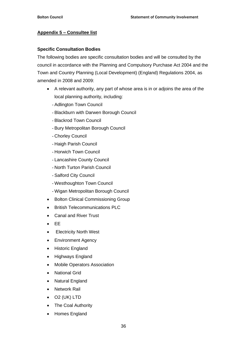# **Appendix 5 – Consultee list**

#### **Specific Consultation Bodies**

The following bodies are specific consultation bodies and will be consulted by the council in accordance with the Planning and Compulsory Purchase Act 2004 and the Town and Country Planning (Local Development) (England) Regulations 2004, as amended in 2008 and 2009:

- A relevant authority, any part of whose area is in or adjoins the area of the local planning authority, including:
	- Adlington Town Council
	- Blackburn with Darwen Borough Council
	- Blackrod Town Council
	- Bury Metropolitan Borough Council
	- Chorley Council
	- Haigh Parish Council
	- Horwich Town Council
	- Lancashire County Council
	- North Turton Parish Council
	- Salford City Council
	- Westhoughton Town Council
	- Wigan Metropolitan Borough Council
- Bolton Clinical Commissioning Group
- British Telecommunications PLC
- Canal and River Trust
- EE
- Electricity North West
- Environment Agency
- Historic England
- Highways England
- Mobile Operators Association
- National Grid
- Natural England
- Network Rail
- O2 (UK) LTD
- The Coal Authority
- Homes England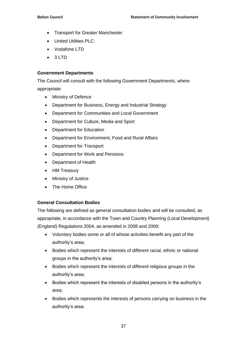- Transport for Greater Manchester
- United Utilities PLC
- Vodafone LTD
- 3 LTD

#### **Government Departments**

The Council will consult with the following Government Departments, where appropriate:

- Ministry of Defence
- Department for Business, Energy and Industrial Strategy
- Department for Communities and Local Government
- Department for Culture, Media and Sport
- Department for Education
- Department for Environment, Food and Rural Affairs
- Department for Transport
- Department for Work and Pensions
- Department of Health
- HM Treasury
- Ministry of Justice
- The Home Office

## **General Consultation Bodies**

The following are defined as general consultation bodies and will be consulted, as appropriate, in accordance with the Town and Country Planning (Local Development) (England) Regulations 2004, as amended in 2008 and 2009:

- Voluntary bodies some or all of whose activities benefit any part of the authority's area;
- Bodies which represent the interests of different racial, ethnic or national groups in the authority's area;
- Bodies which represent the interests of different religious groups in the authority's area;
- Bodies which represent the interests of disabled persons in the authority's area;
- Bodies which represents the interests of persons carrying on business in the authority's area.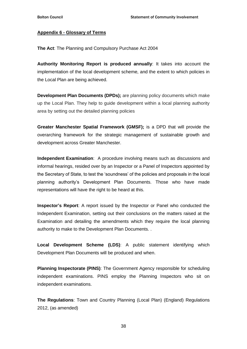#### **Appendix 6 - Glossary of Terms**

**The Act**: The Planning and Compulsory Purchase Act 2004

**Authority Monitoring Report is produced annually**: It takes into account the implementation of the local development scheme, and the extent to which policies in the Local Plan are being achieved.

**Development Plan Documents (DPDs);** are planning policy documents which make up the Local Plan. They help to guide development within a local planning authority area by setting out the detailed planning policies

**Greater Manchester Spatial Framework (GMSF);** is a DPD that will provide the overarching framework for the strategic management of sustainable growth and development across Greater Manchester.

**Independent Examination**: A procedure involving means such as discussions and informal hearings, resided over by an Inspector or a Panel of Inspectors appointed by the Secretary of State, to test the 'soundness' of the policies and proposals in the local planning authority's Development Plan Documents. Those who have made representations will have the right to be heard at this.

**Inspector's Report**: A report issued by the Inspector or Panel who conducted the Independent Examination, setting out their conclusions on the matters raised at the Examination and detailing the amendments which they require the local planning authority to make to the Development Plan Documents. .

**Local Development Scheme (LDS)**: A public statement identifying which Development Plan Documents will be produced and when.

**Planning Inspectorate (PINS)**: The Government Agency responsible for scheduling independent examinations. PINS employ the Planning Inspectors who sit on independent examinations.

**The Regulations**: Town and Country Planning (Local Plan) (England) Regulations 2012, (as amended)